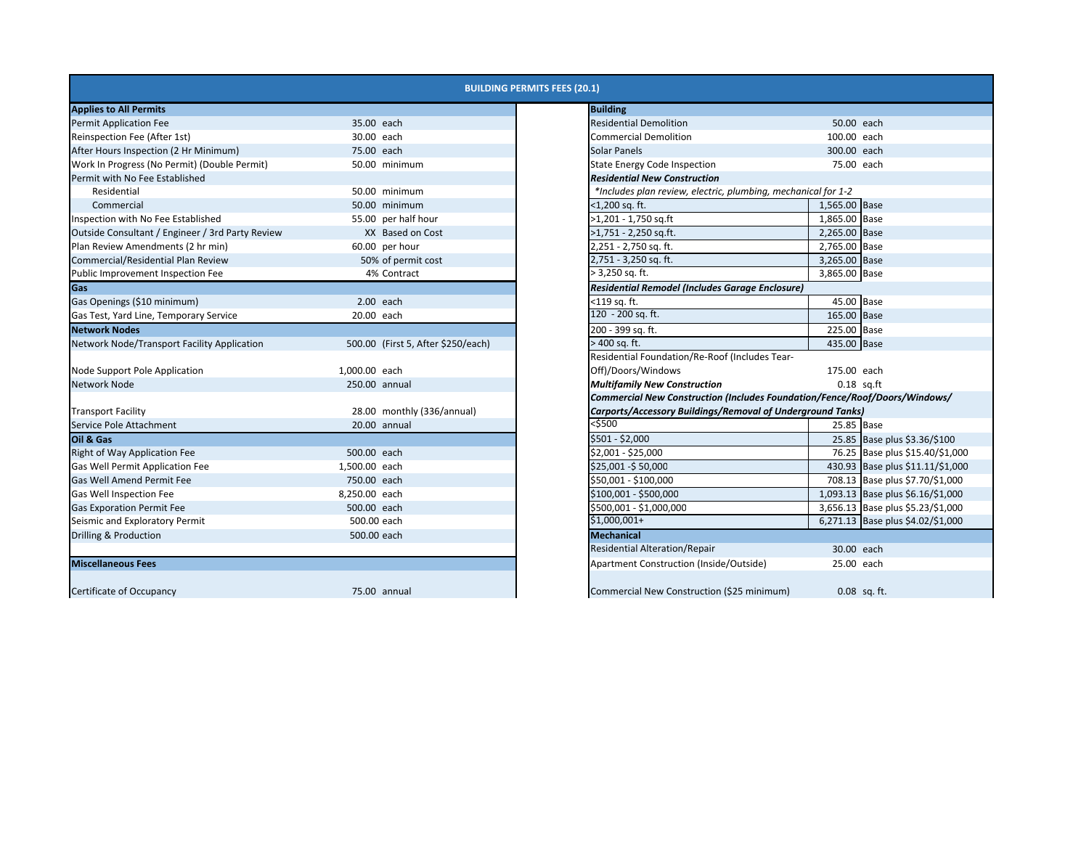|                                                  |                                    | <b>BUILDING PERMITS FEES (20.1)</b>                                        |                                   |
|--------------------------------------------------|------------------------------------|----------------------------------------------------------------------------|-----------------------------------|
| <b>Applies to All Permits</b>                    |                                    | <b>Building</b>                                                            |                                   |
| <b>Permit Application Fee</b>                    | 35.00 each                         | <b>Residential Demolition</b>                                              | 50.00 each                        |
| Reinspection Fee (After 1st)                     | 30.00 each                         | <b>Commercial Demolition</b>                                               | 100.00 each                       |
| After Hours Inspection (2 Hr Minimum)            | 75.00 each                         | <b>Solar Panels</b>                                                        | 300.00 each                       |
| Work In Progress (No Permit) (Double Permit)     | 50.00 minimum                      | <b>State Energy Code Inspection</b>                                        | 75.00 each                        |
| Permit with No Fee Established                   |                                    | <b>Residential New Construction</b>                                        |                                   |
| Residential                                      | 50.00 minimum                      | *Includes plan review, electric, plumbing, mechanical for 1-2              |                                   |
| Commercial                                       | 50.00 minimum                      | <1,200 sq. ft.                                                             | 1,565.00 Base                     |
| Inspection with No Fee Established               | 55.00 per half hour                | >1,201 - 1,750 sq.ft                                                       | 1,865.00 Base                     |
| Outside Consultant / Engineer / 3rd Party Review | XX Based on Cost                   | >1,751 - 2,250 sq.ft.                                                      | 2,265.00 Base                     |
| Plan Review Amendments (2 hr min)                | 60.00 per hour                     | 2,251 - 2,750 sq. ft.                                                      | 2,765.00 Base                     |
| Commercial/Residential Plan Review               | 50% of permit cost                 | 2,751 - 3,250 sq. ft.                                                      | 3,265.00 Base                     |
| Public Improvement Inspection Fee                | 4% Contract                        | $> 3,250$ sq. ft.                                                          | 3,865.00 Base                     |
| Gas                                              |                                    | <b>Residential Remodel (Includes Garage Enclosure)</b>                     |                                   |
| Gas Openings (\$10 minimum)                      | 2.00 each                          | <119 sq. ft.                                                               | 45.00 Base                        |
| Gas Test, Yard Line, Temporary Service           | 20.00 each                         | 120 - 200 sq. ft.                                                          | 165.00 Base                       |
| <b>Network Nodes</b>                             |                                    | 200 - 399 sq. ft.                                                          | 225.00 Base                       |
| Network Node/Transport Facility Application      | 500.00 (First 5, After \$250/each) | > 400 sa. ft.                                                              | 435.00 Base                       |
|                                                  |                                    | Residential Foundation/Re-Roof (Includes Tear-                             |                                   |
| Node Support Pole Application                    | 1,000.00 each                      | Off)/Doors/Windows                                                         | 175.00 each                       |
| <b>Network Node</b>                              | 250.00 annual                      | <b>Multifamily New Construction</b>                                        | $0.18$ sq.ft                      |
|                                                  |                                    | Commercial New Construction (Includes Foundation/Fence/Roof/Doors/Windows/ |                                   |
| <b>Transport Facility</b>                        | 28.00 monthly (336/annual)         | Carports/Accessory Buildings/Removal of Underground Tanks)                 |                                   |
| Service Pole Attachment                          | 20.00 annual                       | <\$500                                                                     | 25.85 Base                        |
| Oil & Gas                                        |                                    | \$501 - \$2,000                                                            | 25.85 Base plus \$3.36/\$100      |
| Right of Way Application Fee                     | 500.00 each                        | \$2,001 - \$25,000                                                         | 76.25 Base plus \$15.40/\$1,000   |
| <b>Gas Well Permit Application Fee</b>           | 1,500.00 each                      | \$25,001 -\$50,000                                                         | 430.93 Base plus \$11.11/\$1,000  |
| <b>Gas Well Amend Permit Fee</b>                 | 750.00 each                        | \$50,001 - \$100,000                                                       | 708.13 Base plus \$7.70/\$1,000   |
| <b>Gas Well Inspection Fee</b>                   | 8,250.00 each                      | \$100,001 - \$500,000                                                      | 1,093.13 Base plus \$6.16/\$1,000 |
| <b>Gas Exporation Permit Fee</b>                 | 500.00 each                        | \$500,001 - \$1,000,000                                                    | 3,656.13 Base plus \$5.23/\$1,000 |
| Seismic and Exploratory Permit                   | 500.00 each                        | \$1,000,001+                                                               | 6,271.13 Base plus \$4.02/\$1,000 |
| Drilling & Production                            | 500.00 each                        | <b>Mechanical</b>                                                          |                                   |
|                                                  |                                    | <b>Residential Alteration/Repair</b>                                       | 30.00 each                        |
| <b>Miscellaneous Fees</b>                        |                                    | Apartment Construction (Inside/Outside)                                    | 25.00 each                        |
| Certificate of Occupancy                         | 75.00 annual                       | Commercial New Construction (\$25 minimum)                                 | $0.08$ sq. ft.                    |

|                               | <b>BUILDING PERMITS FEES (20.1)</b>                                        |               |                                   |
|-------------------------------|----------------------------------------------------------------------------|---------------|-----------------------------------|
|                               | <b>Building</b>                                                            |               |                                   |
| 0 each                        | <b>Residential Demolition</b>                                              | 50.00 each    |                                   |
| 0 each                        | <b>Commercial Demolition</b>                                               | 100.00 each   |                                   |
| 0 each                        | Solar Panels                                                               | 300.00 each   |                                   |
| 0 minimum                     | <b>State Energy Code Inspection</b>                                        | 75.00 each    |                                   |
|                               | <b>Residential New Construction</b>                                        |               |                                   |
| 0 minimum                     | *Includes plan review, electric, plumbing, mechanical for 1-2              |               |                                   |
| 0 minimum                     | <1,200 sq. ft.                                                             | 1,565.00 Base |                                   |
| 0 per half hour               | >1,201 - 1,750 sq.ft                                                       | 1,865.00 Base |                                   |
| X Based on Cost               | >1,751 - 2,250 sq.ft.                                                      | 2,265.00 Base |                                   |
| 0 per hour                    | 2,251 - 2,750 sq. ft.                                                      | 2,765.00 Base |                                   |
| % of permit cost              | 2,751 - 3,250 sq. ft.                                                      | 3,265.00 Base |                                   |
| % Contract                    | > 3,250 sq. ft.                                                            | 3,865.00 Base |                                   |
|                               | Residential Remodel (Includes Garage Enclosure)                            |               |                                   |
| 0 each                        | <119 sq. ft.                                                               | 45.00 Base    |                                   |
| 0 each                        | 120 - 200 sq. ft.                                                          | 165.00 Base   |                                   |
|                               | 200 - 399 sq. ft.                                                          | 225.00 Base   |                                   |
| 0 (First 5, After \$250/each) | > 400 sq. ft.                                                              | 435.00 Base   |                                   |
|                               | Residential Foundation/Re-Roof (Includes Tear-                             |               |                                   |
| 0 each                        | Off)/Doors/Windows                                                         | 175.00 each   |                                   |
| 0 annual                      | <b>Multifamily New Construction</b>                                        |               | $0.18$ sq.ft                      |
|                               | Commercial New Construction (Includes Foundation/Fence/Roof/Doors/Windows/ |               |                                   |
| 0 monthly (336/annual)        | Carports/Accessory Buildings/Removal of Underground Tanks)                 |               |                                   |
| 0 annual                      | <\$500                                                                     | 25.85 Base    |                                   |
|                               | \$501 - \$2,000                                                            |               | 25.85 Base plus \$3.36/\$100      |
| 0 each                        | \$2,001 - \$25,000                                                         |               | 76.25 Base plus \$15.40/\$1,000   |
| 0 each                        | \$25,001 -\$ 50,000                                                        |               | 430.93 Base plus \$11.11/\$1,000  |
| 0 each                        | \$50,001 - \$100,000                                                       |               | 708.13 Base plus \$7.70/\$1,000   |
| 0 each                        | \$100,001 - \$500,000                                                      |               | 1,093.13 Base plus \$6.16/\$1,000 |
| 0 each                        | \$500,001 - \$1,000,000                                                    |               | 3,656.13 Base plus \$5.23/\$1,000 |
| 00 each                       | \$1,000,001+                                                               |               | 6,271.13 Base plus \$4.02/\$1,000 |
| 00 each                       | <b>Mechanical</b>                                                          |               |                                   |
|                               | <b>Residential Alteration/Repair</b>                                       | 30.00 each    |                                   |
|                               | Apartment Construction (Inside/Outside)                                    | 25.00 each    |                                   |
|                               |                                                                            |               |                                   |
| 0 annual                      | Commercial New Construction (\$25 minimum)                                 |               | 0.08 sq. ft.                      |
|                               |                                                                            |               |                                   |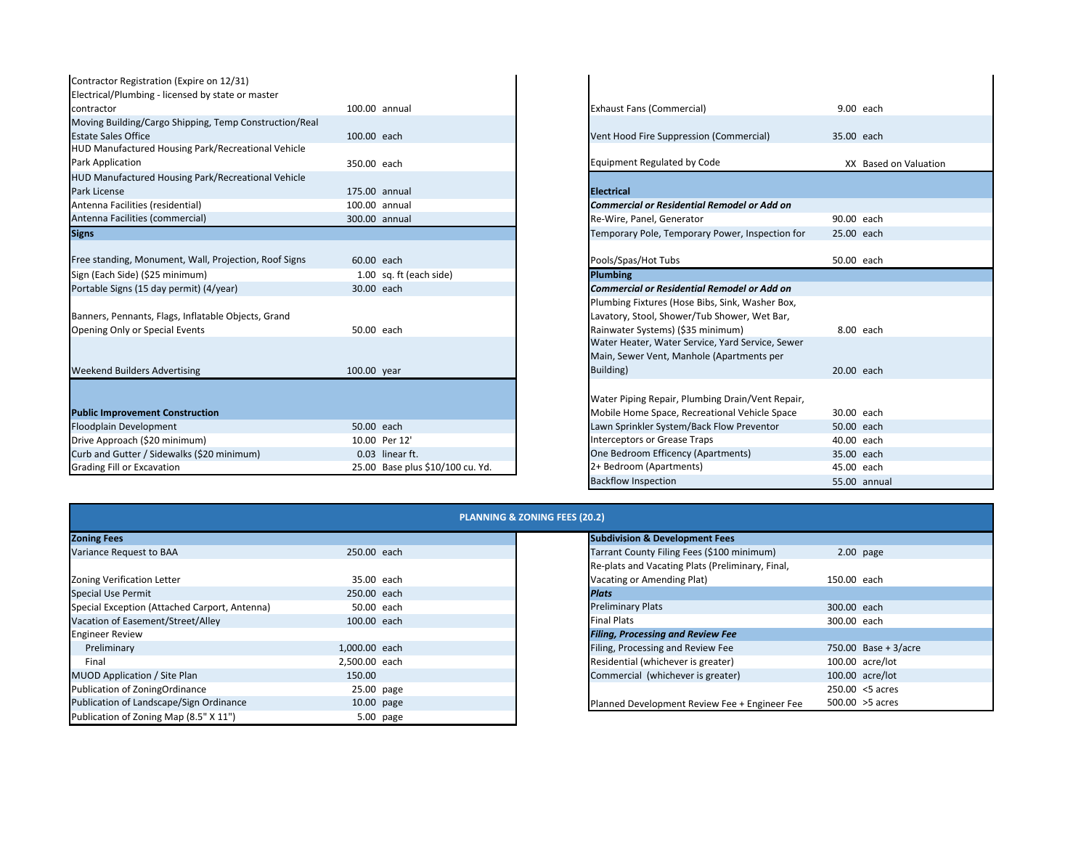| Contractor Registration (Expire on 12/31)              |                                  |                                                    |                       |
|--------------------------------------------------------|----------------------------------|----------------------------------------------------|-----------------------|
| Electrical/Plumbing - licensed by state or master      |                                  |                                                    |                       |
| contractor                                             | 100.00 annual                    | <b>Exhaust Fans (Commercial)</b>                   | 9.00 each             |
| Moving Building/Cargo Shipping, Temp Construction/Real |                                  |                                                    |                       |
| <b>Estate Sales Office</b>                             | 100.00 each                      | Vent Hood Fire Suppression (Commercial)            | 35.00 each            |
| HUD Manufactured Housing Park/Recreational Vehicle     |                                  |                                                    |                       |
| Park Application                                       | 350.00 each                      | Equipment Regulated by Code                        | XX Based on Valuation |
| HUD Manufactured Housing Park/Recreational Vehicle     |                                  |                                                    |                       |
| Park License                                           | 175.00 annual                    | <b>Electrical</b>                                  |                       |
| Antenna Facilities (residential)                       | 100.00 annual                    | <b>Commercial or Residential Remodel or Add on</b> |                       |
| Antenna Facilities (commercial)                        | 300.00 annual                    | Re-Wire, Panel, Generator                          | 90.00 each            |
| <b>Signs</b>                                           |                                  | Temporary Pole, Temporary Power, Inspection for    | 25.00 each            |
| Free standing, Monument, Wall, Projection, Roof Signs  | 60.00 each                       | Pools/Spas/Hot Tubs                                | 50.00 each            |
| Sign (Each Side) (\$25 minimum)                        | 1.00 sq. ft (each side)          | <b>Plumbing</b>                                    |                       |
| Portable Signs (15 day permit) (4/year)                | 30.00 each                       | Commercial or Residential Remodel or Add on        |                       |
|                                                        |                                  | Plumbing Fixtures (Hose Bibs, Sink, Washer Box,    |                       |
| Banners, Pennants, Flags, Inflatable Objects, Grand    |                                  | Lavatory, Stool, Shower/Tub Shower, Wet Bar,       |                       |
| Opening Only or Special Events                         | 50.00 each                       | Rainwater Systems) (\$35 minimum)                  | 8.00 each             |
|                                                        |                                  | Water Heater, Water Service, Yard Service, Sewer   |                       |
|                                                        |                                  | Main, Sewer Vent, Manhole (Apartments per          |                       |
| <b>Weekend Builders Advertising</b>                    | 100.00 year                      | Building)                                          | 20.00 each            |
|                                                        |                                  | Water Piping Repair, Plumbing Drain/Vent Repair,   |                       |
| <b>Public Improvement Construction</b>                 |                                  | Mobile Home Space, Recreational Vehicle Space      | 30.00 each            |
| Floodplain Development                                 | 50.00 each                       | Lawn Sprinkler System/Back Flow Preventor          | 50.00 each            |
| Drive Approach (\$20 minimum)                          | 10.00 Per 12'                    | <b>Interceptors or Grease Traps</b>                | 40.00 each            |
| Curb and Gutter / Sidewalks (\$20 minimum)             | 0.03 linear ft.                  | One Bedroom Efficency (Apartments)                 | 35.00 each            |
| <b>Grading Fill or Excavation</b>                      | 25.00 Base plus \$10/100 cu. Yd. | 2+ Bedroom (Apartments)                            | 45.00 each            |

| 0 annual                     |
|------------------------------|
|                              |
| 0 each                       |
|                              |
| 0 each                       |
|                              |
| 0 annual                     |
| 0 annual                     |
| 0 annual                     |
|                              |
|                              |
| 0 each                       |
| 0 sq. ft (each side)         |
| 0 each                       |
|                              |
|                              |
| 0 each                       |
|                              |
|                              |
| 0 year                       |
|                              |
|                              |
|                              |
| 0 each                       |
| 0 Per 12'                    |
| 3 linear ft.                 |
| 0 Base plus \$10/100 cu. Yd. |
|                              |

## **PLANNING & ZONING FEES (20.2)**

| <b>Zoning Fees</b>                            |               | <b>Subdivision &amp; Development Fees</b>        |                      |
|-----------------------------------------------|---------------|--------------------------------------------------|----------------------|
| Variance Request to BAA                       | 250.00 each   | Tarrant County Filing Fees (\$100 minimum)       | $2.00$ page          |
|                                               |               | Re-plats and Vacating Plats (Preliminary, Final, |                      |
| Zoning Verification Letter                    | 35.00 each    | Vacating or Amending Plat)                       | 150.00 each          |
| <b>Special Use Permit</b>                     | 250.00 each   | <b>Plats</b>                                     |                      |
| Special Exception (Attached Carport, Antenna) | 50.00 each    | Preliminary Plats                                | 300.00 each          |
| Vacation of Easement/Street/Alley             | 100.00 each   | Final Plats                                      | 300.00 each          |
| <b>Engineer Review</b>                        |               | <b>Filing, Processing and Review Fee</b>         |                      |
| Preliminary                                   | 1,000.00 each | Filing, Processing and Review Fee                | 750.00 Base + 3/acre |
| Final                                         | 2.500.00 each | Residential (whichever is greater)               | 100.00 acre/lot      |
| <b>MUOD Application / Site Plan</b>           | 150.00        | Commercial (whichever is greater)                | $100.00$ acre/lot    |
| Publication of ZoningOrdinance                | 25.00 page    |                                                  | 250.00 <5 acres      |
| Publication of Landscape/Sign Ordinance       | 10.00 page    | Planned Development Review Fee + Engineer Fee    | $500.00 > 5$ acres   |
| Publication of Zoning Map (8.5" X 11")        | 5.00 page     |                                                  |                      |

| <b>Subdivision &amp; Development Fees</b>        |             |                      |
|--------------------------------------------------|-------------|----------------------|
| Tarrant County Filing Fees (\$100 minimum)       |             | $2.00$ page          |
| Re-plats and Vacating Plats (Preliminary, Final, |             |                      |
| Vacating or Amending Plat)                       | 150.00 each |                      |
| <b>Plats</b>                                     |             |                      |
| <b>Preliminary Plats</b>                         | 300.00 each |                      |
| <b>Final Plats</b>                               | 300.00 each |                      |
| <b>Filing, Processing and Review Fee</b>         |             |                      |
| Filing, Processing and Review Fee                |             | 750.00 Base + 3/acre |
| Residential (whichever is greater)               |             | 100.00 acre/lot      |
| Commercial (whichever is greater)                |             | 100.00 acre/lot      |
|                                                  |             | $250.00 < 5$ acres   |
| Planned Development Review Fee + Engineer Fee    |             | $500.00 > 5$ acres   |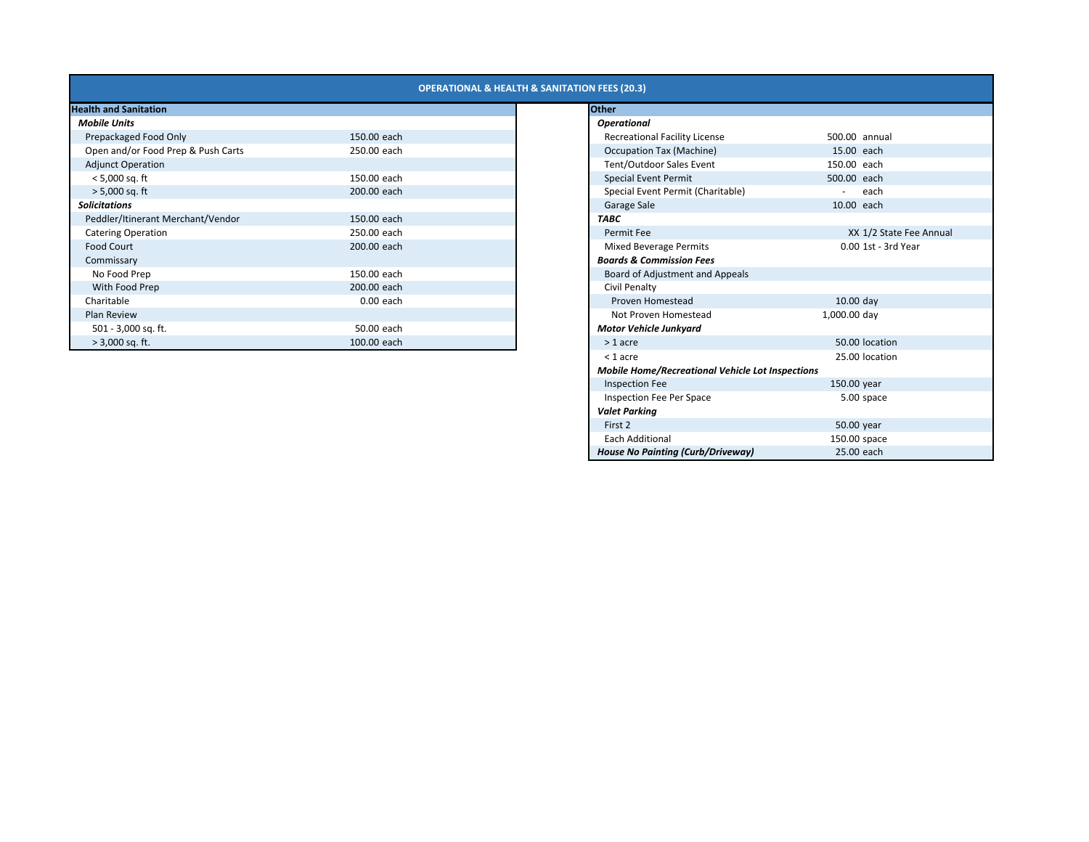| <b>OPERATIONAL &amp; HEALTH &amp; SANITATION FEES (20.3)</b> |  |
|--------------------------------------------------------------|--|
|                                                              |  |

| <b>Mobile Units</b>                |             |
|------------------------------------|-------------|
| Prepackaged Food Only              | 150.00 each |
| Open and/or Food Prep & Push Carts | 250.00 each |
| <b>Adjunct Operation</b>           |             |
| $< 5,000$ sq. ft                   | 150.00 each |
| $> 5,000$ sq. ft                   | 200.00 each |
| <b>Solicitations</b>               |             |
| Peddler/Itinerant Merchant/Vendor  | 150.00 each |
| <b>Catering Operation</b>          | 250.00 each |
| <b>Food Court</b>                  | 200.00 each |
| Commissary                         |             |
| No Food Prep                       | 150.00 each |
| With Food Prep                     | 200.00 each |
| Charitable                         | $0.00$ each |
| Plan Review                        |             |
| 501 - 3,000 sq. ft.                | 50.00 each  |
| $> 3,000$ sq. ft.                  | 100.00 each |

| <b>Health and Sanitation</b>       |             | <b>Other</b>                                            |
|------------------------------------|-------------|---------------------------------------------------------|
| <b>Mobile Units</b>                |             | <b>Operational</b>                                      |
| Prepackaged Food Only              | 150.00 each | <b>Recreational Facility License</b>                    |
| Open and/or Food Prep & Push Carts | 250.00 each | <b>Occupation Tax (Machine)</b>                         |
| <b>Adjunct Operation</b>           |             | Tent/Outdoor Sales Event                                |
| $< 5,000$ sq. ft                   | 150.00 each | Special Event Permit                                    |
| $> 5,000$ sq. ft                   | 200.00 each | Special Event Permit (Charitable)                       |
| <b>Solicitations</b>               |             | Garage Sale                                             |
| Peddler/Itinerant Merchant/Vendor  | 150.00 each | <b>TABC</b>                                             |
| <b>Catering Operation</b>          | 250.00 each | Permit Fee                                              |
| <b>Food Court</b>                  | 200.00 each | <b>Mixed Beverage Permits</b>                           |
| Commissary                         |             | <b>Boards &amp; Commission Fees</b>                     |
| No Food Prep                       | 150.00 each | Board of Adjustment and Appeals                         |
| With Food Prep                     | 200.00 each | Civil Penalty                                           |
| Charitable                         | $0.00$ each | Proven Homestead                                        |
| <b>Plan Review</b>                 |             | Not Proven Homestead                                    |
| 501 - 3,000 sq. ft.                | 50.00 each  | <b>Motor Vehicle Junkyard</b>                           |
| $> 3,000$ sq. ft.                  | 100.00 each | $> 1$ acre                                              |
|                                    |             | $<$ 1 acre                                              |
|                                    |             | <b>Mobile Home/Recreational Vehicle Lot Inspections</b> |
|                                    |             | <b>Inspection Fee</b>                                   |
|                                    |             | Inspection Fee Per Space                                |
|                                    |             | <b>Valet Parking</b>                                    |
|                                    |             | First 2                                                 |
|                                    |             | <b>Each Additional</b>                                  |
|                                    |             | <b>House No Painting (Curb/Driveway)</b>                |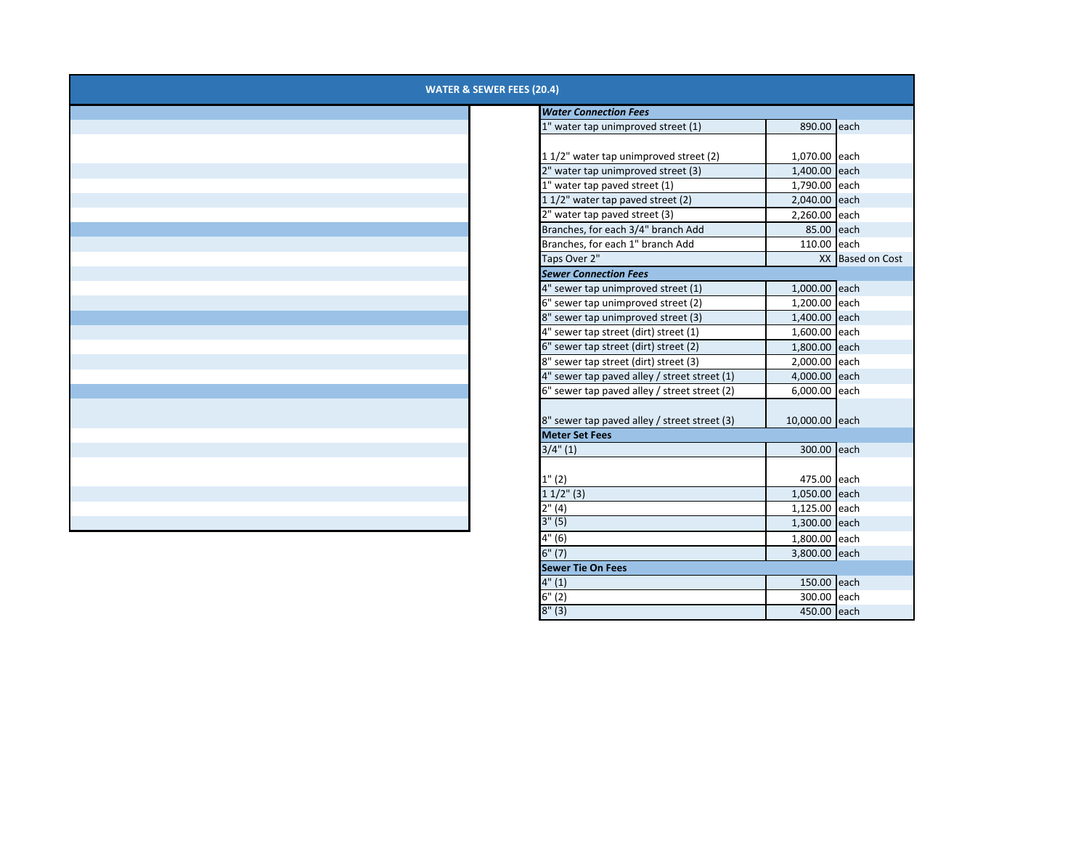| <b>WATER &amp; SEWER FEES (20.4)</b> |                                              |                |                  |  |  |  |
|--------------------------------------|----------------------------------------------|----------------|------------------|--|--|--|
|                                      | <b>Water Connection Fees</b>                 |                |                  |  |  |  |
|                                      | 1" water tap unimproved street (1)           | 890.00 each    |                  |  |  |  |
|                                      |                                              |                |                  |  |  |  |
|                                      | 1 1/2" water tap unimproved street (2)       | 1,070.00 each  |                  |  |  |  |
|                                      | 2" water tap unimproved street (3)           | 1,400.00 each  |                  |  |  |  |
|                                      | 1" water tap paved street (1)                | 1,790.00 each  |                  |  |  |  |
|                                      | 1 1/2" water tap paved street (2)            | 2,040.00 each  |                  |  |  |  |
|                                      | 2" water tap paved street (3)                | 2,260.00 each  |                  |  |  |  |
|                                      | Branches, for each 3/4" branch Add           | 85.00 each     |                  |  |  |  |
|                                      | Branches, for each 1" branch Add             | 110.00 each    |                  |  |  |  |
|                                      | Taps Over 2"                                 |                | XX Based on Cost |  |  |  |
|                                      | <b>Sewer Connection Fees</b>                 |                |                  |  |  |  |
|                                      | 4" sewer tap unimproved street (1)           | 1,000.00 each  |                  |  |  |  |
|                                      | 6" sewer tap unimproved street (2)           | 1,200.00 each  |                  |  |  |  |
|                                      | 8" sewer tap unimproved street (3)           | 1,400.00 each  |                  |  |  |  |
|                                      | 4" sewer tap street (dirt) street (1)        | 1,600.00 each  |                  |  |  |  |
|                                      | 6" sewer tap street (dirt) street (2)        | 1,800.00 each  |                  |  |  |  |
|                                      | 8" sewer tap street (dirt) street (3)        | 2,000.00 each  |                  |  |  |  |
|                                      | 4" sewer tap paved alley / street street (1) | 4,000.00 each  |                  |  |  |  |
|                                      | 6" sewer tap paved alley / street street (2) | 6,000.00 each  |                  |  |  |  |
|                                      | 8" sewer tap paved alley / street street (3) | 10,000.00 each |                  |  |  |  |
|                                      | <b>Meter Set Fees</b>                        |                |                  |  |  |  |
|                                      | $3/4$ " (1)                                  | 300.00 each    |                  |  |  |  |
|                                      |                                              |                |                  |  |  |  |
|                                      | 1" (2)                                       | 475.00 each    |                  |  |  |  |
|                                      | $11/2$ " (3)                                 | 1,050.00 each  |                  |  |  |  |
|                                      | 2''(4)                                       | 1,125.00 each  |                  |  |  |  |
|                                      | 3''(5)                                       | 1,300.00 each  |                  |  |  |  |
|                                      | 4" (6)                                       | 1,800.00 each  |                  |  |  |  |
|                                      | 6" (7)                                       | 3,800.00 each  |                  |  |  |  |
|                                      | <b>Sewer Tie On Fees</b>                     |                |                  |  |  |  |
|                                      | 4" (1)                                       | 150.00 each    |                  |  |  |  |

6"

8"

300.00 each

450.00 each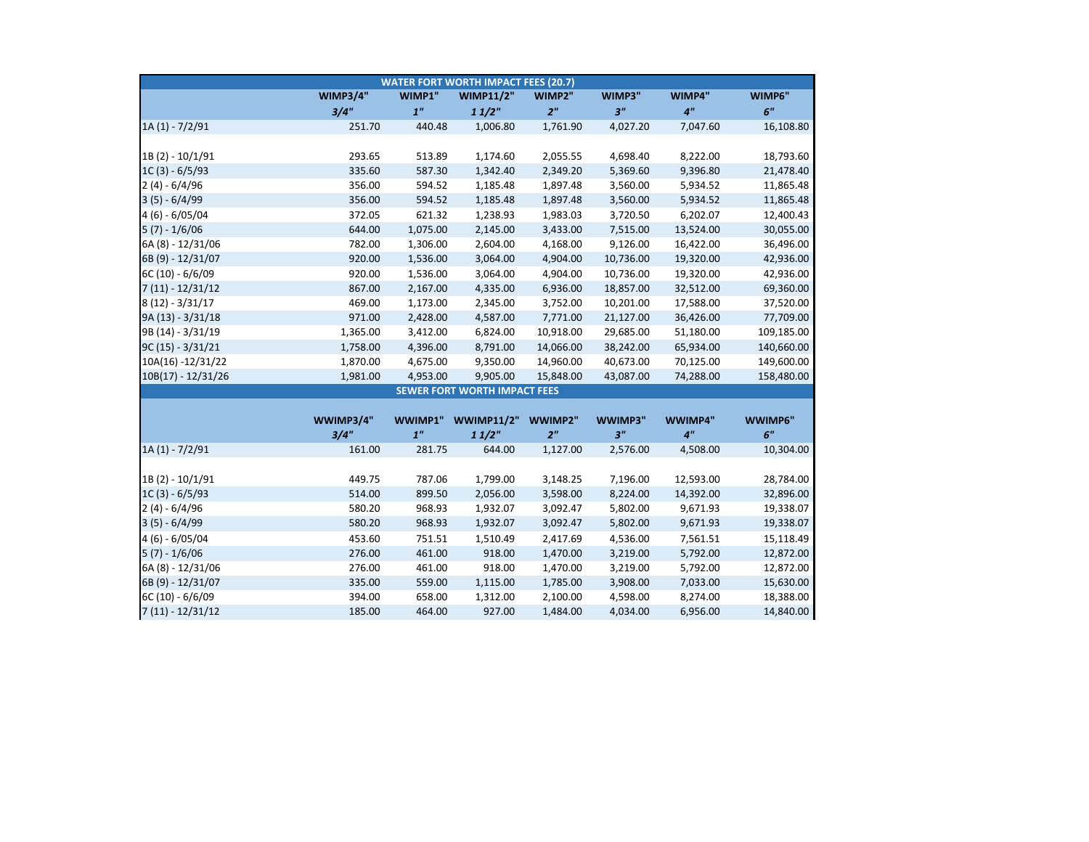| <b>WATER FORT WORTH IMPACT FEES (20.7)</b> |                 |                |                                     |                |                |                 |            |
|--------------------------------------------|-----------------|----------------|-------------------------------------|----------------|----------------|-----------------|------------|
|                                            | <b>WIMP3/4"</b> | WIMP1"         | <b>WIMP11/2"</b>                    | WIMP2"         | WIMP3"         | WIMP4"          | WIMP6"     |
|                                            | 3/4"            | 1 <sup>n</sup> | 11/2"                               | 2 <sup>n</sup> | 3 <sup>n</sup> | 4 <sup>''</sup> | 6"         |
| $1A(1) - 7/2/91$                           | 251.70          | 440.48         | 1,006.80                            | 1,761.90       | 4,027.20       | 7,047.60        | 16,108.80  |
|                                            |                 |                |                                     |                |                |                 |            |
| 1B(2) - 10/1/91                            | 293.65          | 513.89         | 1,174.60                            | 2,055.55       | 4,698.40       | 8,222.00        | 18,793.60  |
| $1C(3) - 6/5/93$                           | 335.60          | 587.30         | 1,342.40                            | 2,349.20       | 5,369.60       | 9,396.80        | 21,478.40  |
| $2(4) - 6/4/96$                            | 356.00          | 594.52         | 1,185.48                            | 1,897.48       | 3,560.00       | 5,934.52        | 11,865.48  |
| $3(5) - 6/4/99$                            | 356.00          | 594.52         | 1,185.48                            | 1,897.48       | 3,560.00       | 5,934.52        | 11,865.48  |
| 4 (6) - 6/05/04                            | 372.05          | 621.32         | 1,238.93                            | 1,983.03       | 3,720.50       | 6,202.07        | 12,400.43  |
| $5(7) - 1/6/06$                            | 644.00          | 1,075.00       | 2,145.00                            | 3,433.00       | 7,515.00       | 13,524.00       | 30,055.00  |
| 6A (8) - 12/31/06                          | 782.00          | 1,306.00       | 2,604.00                            | 4,168.00       | 9,126.00       | 16,422.00       | 36,496.00  |
| 6B (9) - 12/31/07                          | 920.00          | 1,536.00       | 3,064.00                            | 4,904.00       | 10,736.00      | 19,320.00       | 42,936.00  |
| 6C (10) - 6/6/09                           | 920.00          | 1,536.00       | 3,064.00                            | 4,904.00       | 10,736.00      | 19,320.00       | 42,936.00  |
| $7(11) - 12/31/12$                         | 867.00          | 2,167.00       | 4,335.00                            | 6,936.00       | 18,857.00      | 32,512.00       | 69,360.00  |
| $8(12) - 3/31/17$                          | 469.00          | 1,173.00       | 2,345.00                            | 3,752.00       | 10,201.00      | 17,588.00       | 37,520.00  |
| 9A (13) - 3/31/18                          | 971.00          | 2,428.00       | 4,587.00                            | 7,771.00       | 21,127.00      | 36,426.00       | 77,709.00  |
| 9B (14) - 3/31/19                          | 1,365.00        | 3,412.00       | 6,824.00                            | 10,918.00      | 29,685.00      | 51,180.00       | 109,185.00 |
| $9C(15) - 3/31/21$                         | 1,758.00        | 4,396.00       | 8,791.00                            | 14,066.00      | 38,242.00      | 65,934.00       | 140,660.00 |
| 10A(16) -12/31/22                          | 1,870.00        | 4,675.00       | 9,350.00                            | 14,960.00      | 40,673.00      | 70,125.00       | 149,600.00 |
| $10B(17) - 12/31/26$                       | 1,981.00        | 4,953.00       | 9,905.00                            | 15,848.00      | 43,087.00      | 74,288.00       | 158,480.00 |
|                                            |                 |                | <b>SEWER FORT WORTH IMPACT FEES</b> |                |                |                 |            |
|                                            |                 |                |                                     |                |                |                 |            |
|                                            | WWIMP3/4"       | WWIMP1"        | <b>WWIMP11/2"</b>                   | WWIMP2"        | WWIMP3"        | WWIMP4"         | WWIMP6"    |
|                                            | 3/4"            | 1 <sup>n</sup> | 11/2"                               | 2 <sup>n</sup> | 3 <sup>n</sup> | 4 <sup>''</sup> | 6"         |
| $1A(1) - 7/2/91$                           | 161.00          | 281.75         | 644.00                              | 1,127.00       | 2,576.00       | 4,508.00        | 10,304.00  |
|                                            |                 |                |                                     |                |                |                 |            |
| 1B(2) - 10/1/91                            | 449.75          | 787.06         | 1,799.00                            | 3,148.25       | 7,196.00       | 12,593.00       | 28,784.00  |
| $1C(3) - 6/5/93$                           | 514.00          | 899.50         | 2,056.00                            | 3,598.00       | 8,224.00       | 14,392.00       | 32,896.00  |
| $2(4) - 6/4/96$                            | 580.20          | 968.93         | 1,932.07                            | 3,092.47       | 5,802.00       | 9,671.93        | 19,338.07  |
| $3(5) - 6/4/99$                            | 580.20          | 968.93         | 1,932.07                            | 3,092.47       | 5,802.00       | 9,671.93        | 19,338.07  |
| 4 (6) - 6/05/04                            | 453.60          | 751.51         | 1,510.49                            | 2,417.69       | 4,536.00       | 7,561.51        | 15,118.49  |
| $5(7) - 1/6/06$                            | 276.00          | 461.00         | 918.00                              | 1,470.00       | 3,219.00       | 5,792.00        | 12,872.00  |
| 6A (8) - 12/31/06                          | 276.00          | 461.00         | 918.00                              | 1,470.00       | 3,219.00       | 5,792.00        | 12,872.00  |
| 6B (9) - 12/31/07                          | 335.00          | 559.00         | 1,115.00                            | 1,785.00       | 3,908.00       | 7,033.00        | 15,630.00  |
| 6C (10) - 6/6/09                           | 394.00          | 658.00         | 1,312.00                            | 2,100.00       | 4,598.00       | 8,274.00        | 18,388.00  |
| $7(11) - 12/31/12$                         | 185.00          | 464.00         | 927.00                              | 1,484.00       | 4,034.00       | 6,956.00        | 14,840.00  |